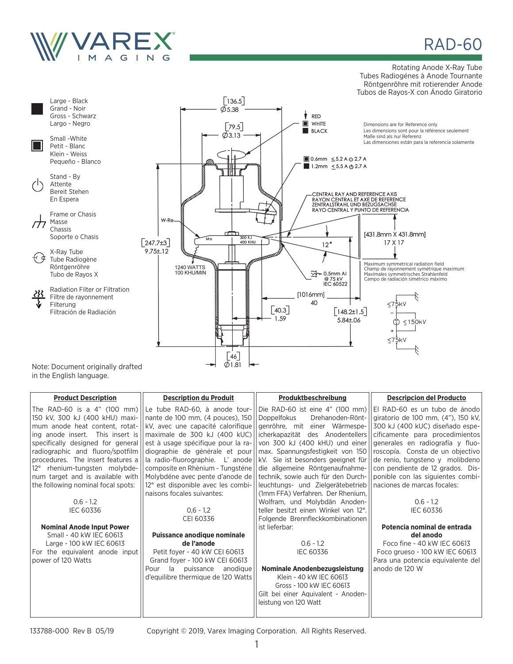

# **RAD-60**

#### Rotating Anode X-Ray Tube Tubes Radiogénes à Anode Tournante Röntgenröhre mit rotierender Anode Tubos de Rayos-X con Ánodo Giratorio



in the English language.

| <b>Product Description</b>          | <b>Description du Produit</b>         | Produktbeschreibung                                                                                                    | <b>Descripcion del Producto</b>                        |
|-------------------------------------|---------------------------------------|------------------------------------------------------------------------------------------------------------------------|--------------------------------------------------------|
|                                     |                                       | The RAD-60 is a 4" (100 mm) Le tube RAD-60, à anode tour- Die RAD-60 ist eine 4" (100 mm) E RAD-60 es un tubo de ánodo |                                                        |
| 150 kV, 300 kJ (400 kHU) maxi-      | nante de 100 mm, (4 pouces), 150      | Doppelfokus                                                                                                            | Drehanoden-Rönt-    giratorio de 100 mm, (4"), 150 kV, |
| mum anode heat content, rotat-      | kV, avec une capacité calorifique     | genröhre, mit einer Wärmespe- 1300 kJ (400 kUC) diseñado espe-                                                         |                                                        |
| ing anode insert.<br>This insert is | maximale de 300 kJ (400 kUC)          | icherkapazität des Anodentellers    cificamente para procedimientos                                                    |                                                        |
| specifically designed for general   | est à usage spécifique pour la ra-    | von 300 kJ (400 kHU) und einer   generales en radiografía y fluo-                                                      |                                                        |
| radiographic and fluoro/spotfilm    | diographie de générale et pour        | max. Spannungsfestigkeit von 150    roscopía. Consta de un objectivo                                                   |                                                        |
| procedures. The insert features a   | la radio-fluorographie. L'anode       | $ kV$ . Sie ist besonders geeignet für $  $ de renio, tungsteno y molibdeno                                            |                                                        |
| 12° rhenium-tungsten molybde-       | composite en Rhènium - Tungsténe      | die allgemeine Röntgenaufnahme-    con pendiente de 12 grados. Dis-                                                    |                                                        |
| num target and is available with    | Molybdéne avec pente d'anode de       | technik, sowie auch für den Durch-    ponible con las siguientes combi-                                                |                                                        |
| the following nominal focal spots:  | 12° est disponible avec les combi-    | leuchtungs- und Zielgerätebetrieb    naciones de marcas focales:                                                       |                                                        |
|                                     | naisons focales suivantes:            | (1mm FFA) Verfahren. Der Rhenium,                                                                                      |                                                        |
| $0.6 - 1.2$                         |                                       | Wolfram, und Molybdän Anoden-                                                                                          | $0.6 - 1.2$                                            |
| <b>IEC 60336</b>                    | $0.6 - 1.2$                           | teller besitzt einen Winkel von 12°.                                                                                   | <b>IEC 60336</b>                                       |
|                                     | CEI 60336                             | Folgende Brennfleckkombinationen                                                                                       |                                                        |
| <b>Nominal Anode Input Power</b>    |                                       | ist lieferbar:                                                                                                         | Potencia nominal de entrada                            |
| Small - 40 kW IEC 60613             | Puissance anodique nominale           |                                                                                                                        | del anodo                                              |
| Large - 100 kW IEC 60613            | de l'anode                            | $0.6 - 1.2$                                                                                                            | Foco fine - 40 kW IEC 60613                            |
| For the equivalent anode input      | Petit foyer - 40 kW CEI 60613         | <b>IEC 60336</b>                                                                                                       | Foco grueso - 100 kW IEC 60613                         |
| power of 120 Watts                  | Grand foyer - 100 kW CEI 60613        |                                                                                                                        | Para una potencia equivalente del                      |
|                                     | - la<br>Pour<br>puissance<br>anodique | Nominale Anodenbezugsleistung                                                                                          | anodo de 120 W                                         |
|                                     | d'equilibre thermique de 120 Watts    | Klein - 40 kW IEC 60613                                                                                                |                                                        |
|                                     |                                       | Gross - 100 kW IEC 60613                                                                                               |                                                        |
|                                     |                                       | Gilt bei einer Aquivalent - Anoden-                                                                                    |                                                        |
|                                     |                                       | leistung von 120 Watt                                                                                                  |                                                        |
|                                     |                                       |                                                                                                                        |                                                        |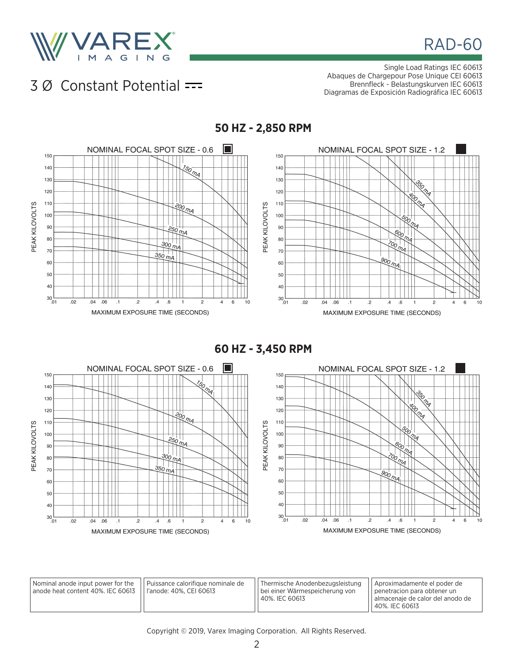

**RAD-60** 

### 3 Ø Constant Potential

Single Load Ratings IEC 60613 Abaques de Chargepour Pose Unique CEI 60613 Brennfleck - Belastungskurven IEC 60613 Diagramas de Exposición Radiográfica IEC 60613



**60 HZ - 3,450 RPM**



| Nominal anode input power for the | II Puissance calorifique nominale de | Thermische Anodenbezugsleistung | Aproximadamente el poder de        |
|-----------------------------------|--------------------------------------|---------------------------------|------------------------------------|
| anode heat content 40%. IEC 60613 | l l l'anode: 40%. CEI 60613          | bei einer Wärmespeicherung von  | I penetracion para obtener un      |
|                                   |                                      | 40%, IEC 60613                  | I almacenaie de calor del anodo de |
|                                   |                                      |                                 | 40%. IEC 60613                     |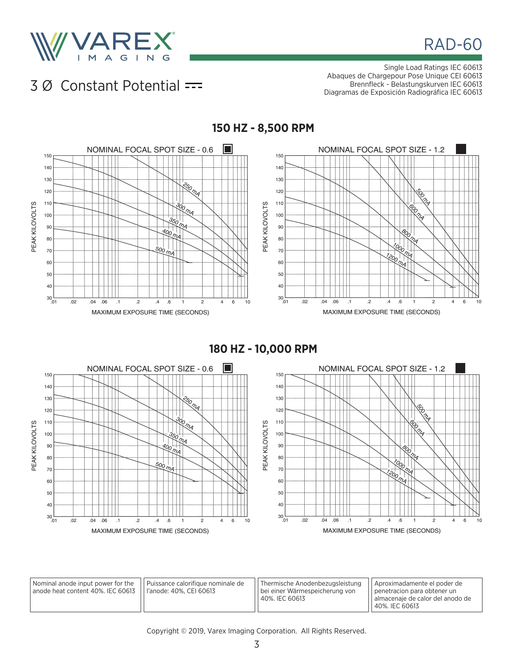

**RAD-60** 

### 3 Ø Constant Potential

Single Load Ratings IEC 60613 Abaques de Chargepour Pose Unique CEI 60613 Brennfleck - Belastungskurven IEC 60613 Diagramas de Exposición Radiográfica IEC 60613



**180 HZ - 10,000 RPM**



| Nominal anode input power for the<br>'anode heat content 40%. IEC 60613    l'anode: 40%. CEI 60613 | I   Puissance calorifique nominale de | Thermische Anodenbezugsleistung<br>I bei einer Wärmespeicherung von<br>40%, IEC 60613 | Aproximadamente el poder de<br>I penetracion para obtener un<br>l almacenaie de calor del anodo de |
|----------------------------------------------------------------------------------------------------|---------------------------------------|---------------------------------------------------------------------------------------|----------------------------------------------------------------------------------------------------|
|                                                                                                    |                                       |                                                                                       | 40%, IEC 60613                                                                                     |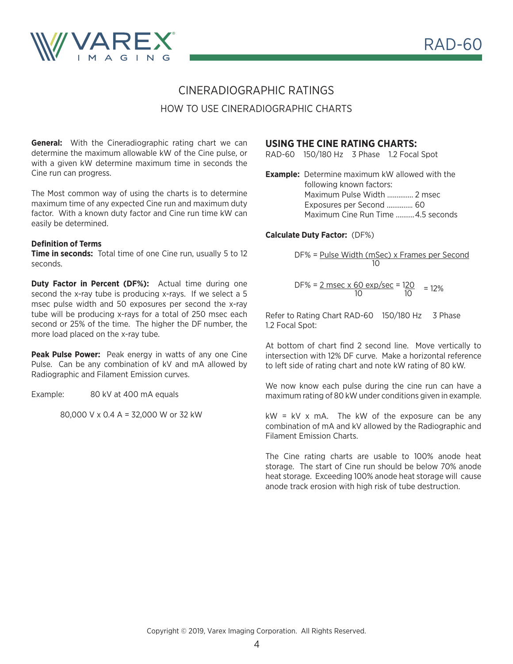

### CINERADIOGRAPHIC RATINGS HOW TO USE CINERADIOGRAPHIC CHARTS

**General:** With the Cineradiographic rating chart we can determine the maximum allowable kW of the Cine pulse, or with a given kW determine maximum time in seconds the Cine run can progress.

The Most common way of using the charts is to determine maximum time of any expected Cine run and maximum duty factor. With a known duty factor and Cine run time kW can easily be determined.

#### **Definition of Terms**

**Time in seconds:** Total time of one Cine run, usually 5 to 12 seconds.

**Duty Factor in Percent (DF%):** Actual time during one second the x-ray tube is producing x-rays. If we select a 5 msec pulse width and 50 exposures per second the x-ray tube will be producing x-rays for a total of 250 msec each second or 25% of the time. The higher the DF number, the more load placed on the x-ray tube.

**Peak Pulse Power:** Peak energy in watts of any one Cine Pulse. Can be any combination of kV and mA allowed by Radiographic and Filament Emission curves.

Example: 80 kV at 400 mA equals

80,000 V x 0.4 A = 32,000 W or 32 kW

#### **USING THE CINE RATING CHARTS:**

RAD-60 150/180 Hz 3 Phase 1.2 Focal Spot

**Example:** Determine maximum kW allowed with the following known factors: Maximum Pulse Width .............. 2 msec Exposures per Second .............. 60 Maximum Cine Run Time ..........4.5 seconds

#### **Calculate Duty Factor:** (DF%)

DF% = Pulse Width (mSec) x Frames per Second 10

DF% = 
$$
\frac{2 \text{ msec} \times 60 \text{ exp/sec}}{10} = 12\%
$$
 = 12%

Refer to Rating Chart RAD-60 150/180 Hz 3 Phase 1.2 Focal Spot:

At bottom of chart find 2 second line. Move vertically to intersection with 12% DF curve. Make a horizontal reference to left side of rating chart and note kW rating of 80 kW.

We now know each pulse during the cine run can have a maximum rating of 80 kW under conditions given in example.

 $kW = kV$  x mA. The kW of the exposure can be any combination of mA and kV allowed by the Radiographic and Filament Emission Charts.

The Cine rating charts are usable to 100% anode heat storage. The start of Cine run should be below 70% anode heat storage. Exceeding 100% anode heat storage will cause anode track erosion with high risk of tube destruction.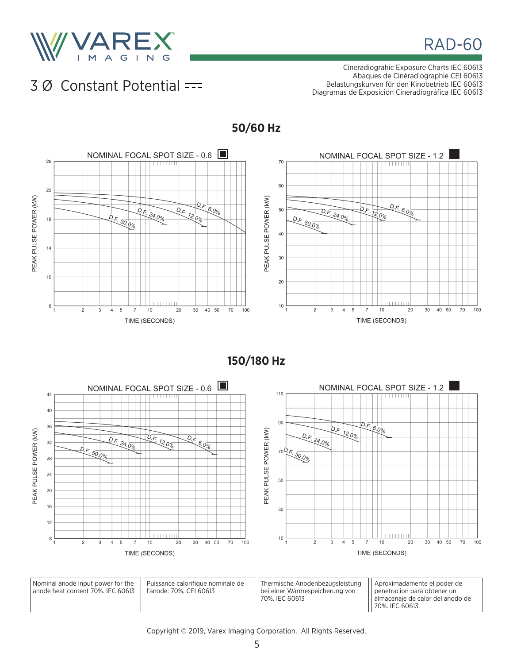

# **RAD-60**

### 3 Ø Constant Potential

Cineradiograhic Exposure Charts IEC 60613 Abaques de Cinèradiographie CEI 60613 Belastungskurven für den Kinobetrieb IEC 60613 Diagramas de Exposición Cineradiográfica IEC 60613



**150/180 Hz**



Nominal anode input power for the anode heat content 70%. IEC 60613 Puissance calorifique nominale de l'anode: 70%, CEI 60613 Thermische Anodenbezugsleistung bei einer Wärmespeicherung von 70%. IEC 60613 Aproximadamente el poder de penetracion para obtener un almacenaje de calor del anodo de 70%. IEC 60613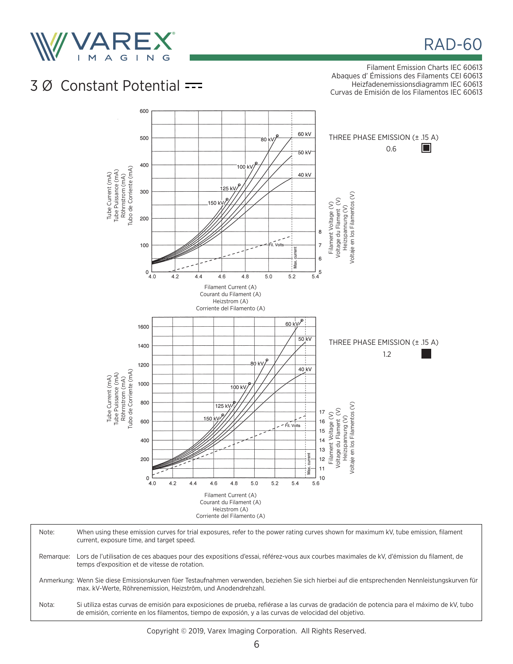

## **RAD-60**

Filament Emission Charts IEC 60613 Abaques d' Émissions des Filaments CEI 60613 Heizfadenemissionsdiagramm IEC 60613 Curvas de Emisión de los Filamentos IEC 60613

# 3 Ø Constant Potential



| Note:     | When using these emission curves for trial exposures, refer to the power rating curves shown for maximum kV, tube emission, filament<br>current, exposure time, and target speed.                                                                    |
|-----------|------------------------------------------------------------------------------------------------------------------------------------------------------------------------------------------------------------------------------------------------------|
| Remarque: | Lors de l'utilisation de ces abagues pour des expositions d'essai, référez-vous aux courbes maximales de kV, d'émission du filament, de<br>temps d'exposition et de vitesse de rotation.                                                             |
|           | Anmerkung: Wenn Sie diese Emissionskurven füer Testaufnahmen verwenden, beziehen Sie sich hierbei auf die entsprechenden Nennleistungskurven für<br>max. kV-Werte, Röhrenemission, Heizström, und Anodendrehzahl.                                    |
| Nota:     | Si utiliza estas curvas de emisión para exposiciones de prueba, refiérase a las curvas de gradación de potencia para el máximo de kV, tubo<br>de emisión, corriente en los filamentos, tiempo de exposión, y a las curvas de velocidad del objetivo. |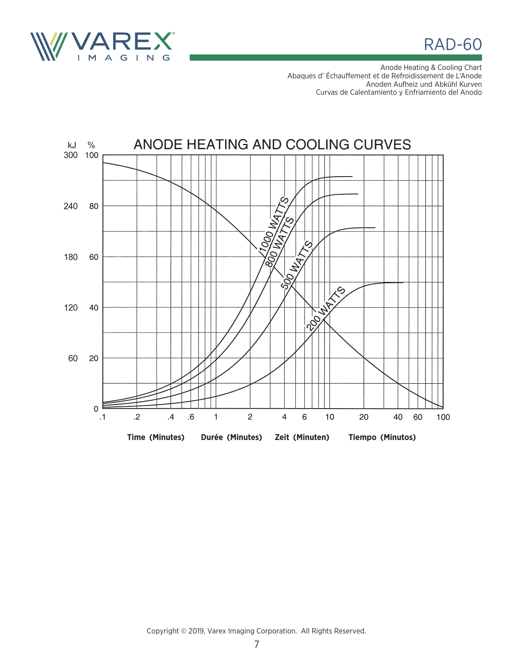

**RAD-60** 

Anode Heating & Cooling Chart Abaques d' Échauffement et de Refroidissement de L'Anode Anoden Aufheiz und Abkühl Kurven Curvas de Calentamiento y Enfriamiento del Anodo